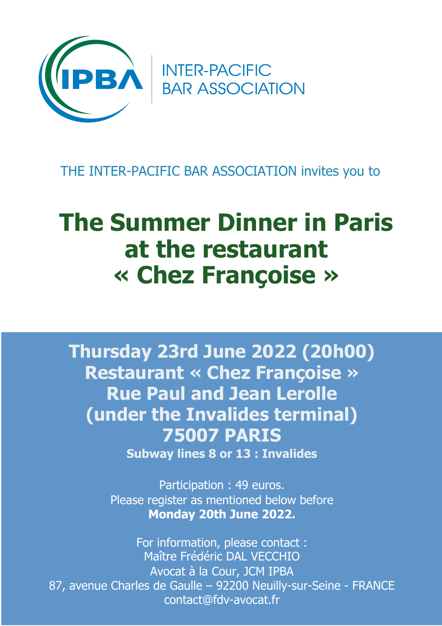

**INTER-PACIFIC<br>BAR ASSOCIATION** 

## THE INTER-PACIFIC BAR ASSOCIATION invites you to

## **The Summer Dinner in Paris at the restaurant « Chez Françoise »**

**Thursday 23rd June 2022 (20h00) Restaurant « Chez Françoise » Rue Paul and Jean Lerolle (under the Invalides terminal) 75007 PARIS** 

**Subway lines 8 or 13 : Invalides** 

Participation : 49 euros. Please register as mentioned below before **Monday 20th June 2022.**

For information, please contact : Maître Frédéric DAL VECCHIO Avocat à la Cour, JCM IPBA 87, avenue Charles de Gaulle – 92200 Neuilly-sur-Seine - FRANCE contact@fdv-avocat.fr